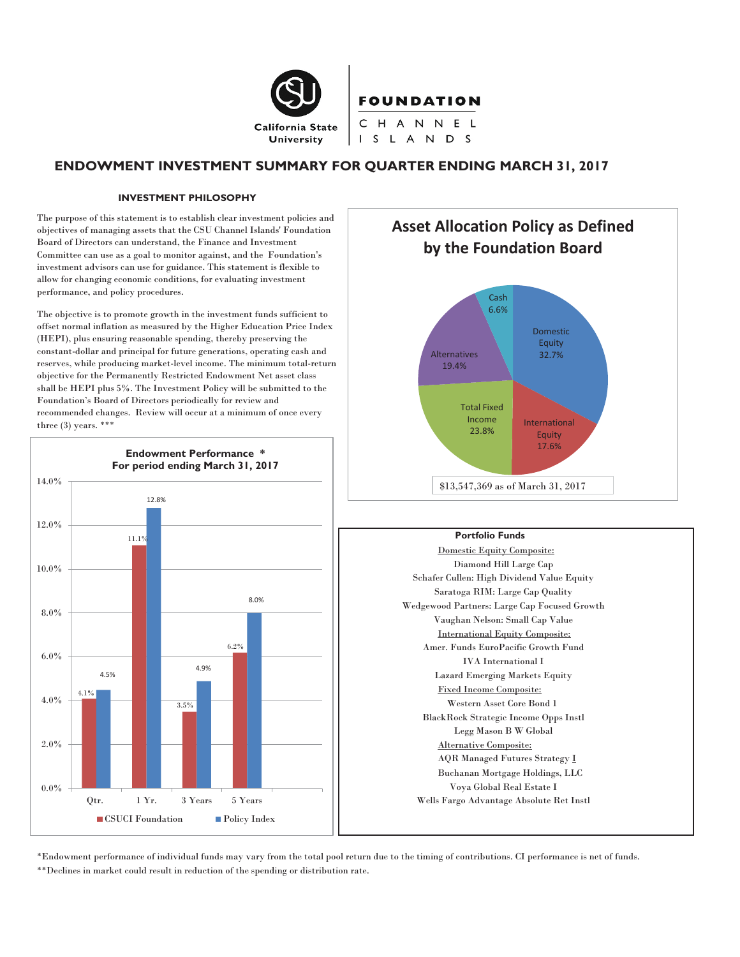

# **FOUNDATION**

CHANNEL I S L A N D S

## **ENDOWMENT INVESTMENT SUMMARY FOR QUARTER ENDING MARCH 31, 2017**

#### **INVESTMENT PHILOSOPHY**

The purpose of this statement is to establish clear investment policies and objectives of managing assets that the CSU Channel Islands' Foundation Board of Directors can understand, the Finance and Investment Committee can use as a goal to monitor against, and the Foundation's investment advisors can use for guidance. This statement is flexible to allow for changing economic conditions, for evaluating investment performance, and policy procedures.

The objective is to promote growth in the investment funds sufficient to offset normal inflation as measured by the Higher Education Price Index (HEPI), plus ensuring reasonable spending, thereby preserving the constant-dollar and principal for future generations, operating cash and reserves, while producing market-level income. The minimum total-return objective for the Permanently Restricted Endowment Net asset class shall be HEPI plus 5%. The Investment Policy will be submitted to the Foundation's Board of Directors periodically for review and recommended changes. Review will occur at a minimum of once every three (3) years. \*\*\*





**Equity** 17.6%

#### **Portfolio Funds**

\$13,547,369 as of March 31, 2017

23.8%

Domestic Equity Composite: Diamond Hill Large Cap Schafer Cullen: High Dividend Value Equity Saratoga RIM: Large Cap Quality Wedgewood Partners: Large Cap Focused Growth Vaughan Nelson: Small Cap Value International Equity Composite: Amer. Funds EuroPacific Growth Fund IVA International I Lazard Emerging Markets Equity Fixed Income Composite: Western Asset Core Bond 1 BlackRock Strategic Income Opps Instl Legg Mason B W Global Alternative Composite: AQR Managed Futures Strategy I Buchanan Mortgage Holdings, LLC Voya Global Real Estate I Wells Fargo Advantage Absolute Ret Instl

\*Endowment performance of individual funds may vary from the total pool return due to the timing of contributions. CI performance is net of funds. \*\*Declines in market could result in reduction of the spending or distribution rate.